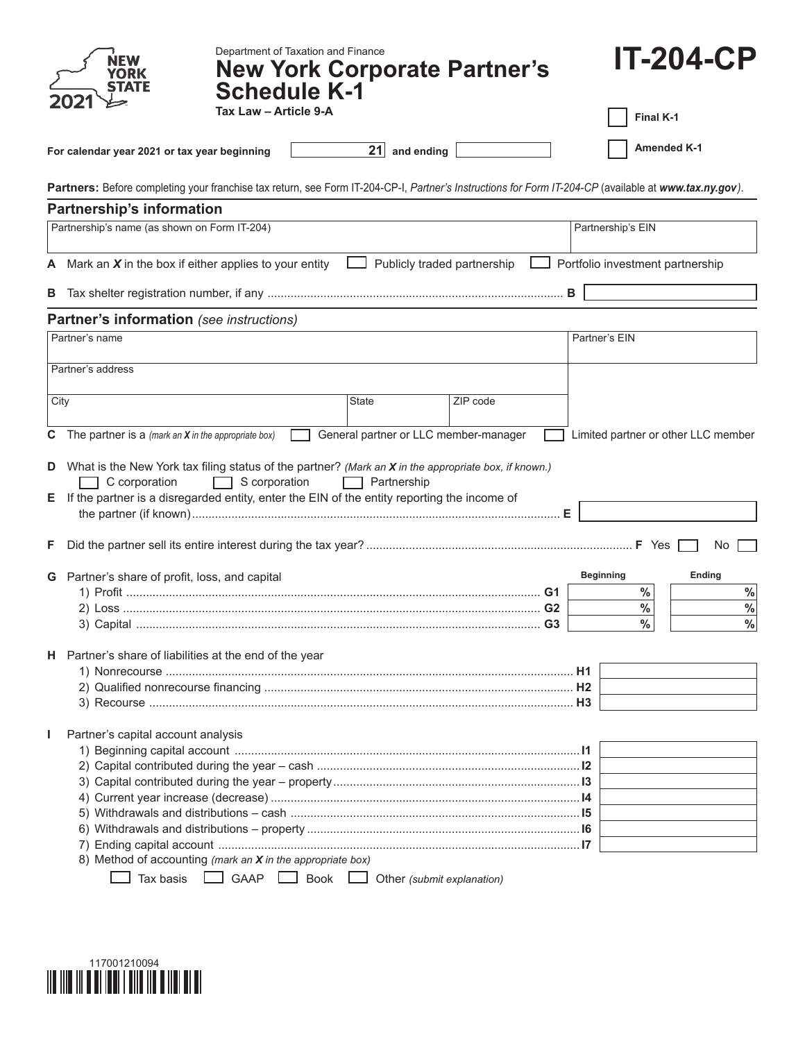|      | Department of Taxation and Finance<br><b>New York Corporate Partner's</b><br><b>Schedule K-1</b>                                                                                                                                                 |                                       |                             |                   | <b>IT-204-CP</b>                    |
|------|--------------------------------------------------------------------------------------------------------------------------------------------------------------------------------------------------------------------------------------------------|---------------------------------------|-----------------------------|-------------------|-------------------------------------|
|      | Tax Law - Article 9-A                                                                                                                                                                                                                            |                                       |                             |                   | Final K-1                           |
|      | For calendar year 2021 or tax year beginning                                                                                                                                                                                                     | $21$ and ending                       |                             |                   | <b>Amended K-1</b>                  |
|      | Partners: Before completing your franchise tax return, see Form IT-204-CP-I, Partner's Instructions for Form IT-204-CP (available at www.tax.ny.gov).                                                                                            |                                       |                             |                   |                                     |
|      | <b>Partnership's information</b>                                                                                                                                                                                                                 |                                       |                             |                   |                                     |
|      | Partnership's name (as shown on Form IT-204)                                                                                                                                                                                                     |                                       |                             | Partnership's EIN |                                     |
|      | A Mark an $X$ in the box if either applies to your entity                                                                                                                                                                                        |                                       | Publicly traded partnership |                   | Portfolio investment partnership    |
| В    |                                                                                                                                                                                                                                                  |                                       |                             | B                 |                                     |
|      | <b>Partner's information</b> (see instructions)                                                                                                                                                                                                  |                                       |                             |                   |                                     |
|      | Partner's name                                                                                                                                                                                                                                   |                                       |                             | Partner's EIN     |                                     |
|      | Partner's address                                                                                                                                                                                                                                |                                       |                             |                   |                                     |
|      |                                                                                                                                                                                                                                                  |                                       |                             |                   |                                     |
| City |                                                                                                                                                                                                                                                  | State                                 | ZIP code                    |                   |                                     |
| C    | The partner is a (mark an $X$ in the appropriate box)                                                                                                                                                                                            | General partner or LLC member-manager |                             |                   | Limited partner or other LLC member |
|      | D What is the New York tax filing status of the partner? (Mark an X in the appropriate box, if known.)<br>C corporation<br>$\Box$ S corporation<br>E If the partner is a disregarded entity, enter the EIN of the entity reporting the income of | Partnership                           |                             |                   |                                     |
| F.   |                                                                                                                                                                                                                                                  |                                       |                             |                   | No.                                 |
|      | G Partner's share of profit, loss, and capital                                                                                                                                                                                                   |                                       |                             | <b>Beginning</b>  | Ending                              |
|      |                                                                                                                                                                                                                                                  |                                       |                             |                   | $\%$<br>$\%$                        |
|      |                                                                                                                                                                                                                                                  |                                       | G <sub>2</sub>              |                   | $\frac{0}{0}$<br>$\%$               |
|      |                                                                                                                                                                                                                                                  |                                       | G <sub>3</sub>              |                   | $\frac{0}{0}$<br>$\frac{9}{6}$      |
|      | H Partner's share of liabilities at the end of the year                                                                                                                                                                                          |                                       |                             |                   |                                     |
|      |                                                                                                                                                                                                                                                  |                                       |                             |                   |                                     |
|      |                                                                                                                                                                                                                                                  |                                       |                             |                   |                                     |
|      |                                                                                                                                                                                                                                                  |                                       |                             |                   |                                     |
| J.   | Partner's capital account analysis                                                                                                                                                                                                               |                                       |                             |                   |                                     |
|      |                                                                                                                                                                                                                                                  |                                       |                             |                   |                                     |
|      |                                                                                                                                                                                                                                                  |                                       |                             |                   |                                     |
|      |                                                                                                                                                                                                                                                  |                                       |                             |                   |                                     |
|      |                                                                                                                                                                                                                                                  |                                       |                             |                   |                                     |
|      |                                                                                                                                                                                                                                                  |                                       |                             |                   |                                     |
|      |                                                                                                                                                                                                                                                  |                                       |                             |                   |                                     |
|      | 8) Method of accounting (mark an X in the appropriate box)                                                                                                                                                                                       |                                       |                             |                   |                                     |
|      | GAAP Book Other (submit explanation)<br>Tax basis                                                                                                                                                                                                |                                       |                             |                   |                                     |

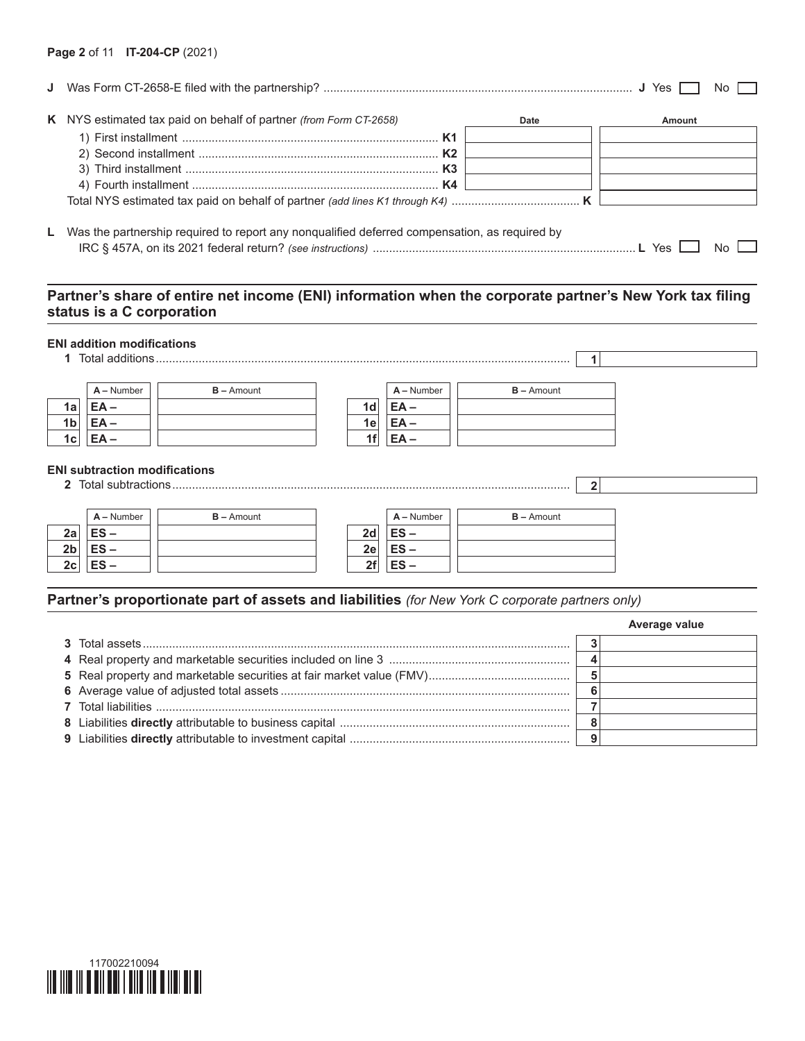|                                                                                                 |      |        | No |
|-------------------------------------------------------------------------------------------------|------|--------|----|
| K NYS estimated tax paid on behalf of partner (from Form CT-2658)                               | Date | Amount |    |
|                                                                                                 |      |        |    |
|                                                                                                 |      |        |    |
|                                                                                                 |      |        |    |
|                                                                                                 |      |        |    |
|                                                                                                 |      |        |    |
|                                                                                                 |      |        |    |
| L Was the partnership required to report any nonqualified deferred compensation, as required by |      |        |    |
|                                                                                                 |      | Yes    |    |

# **Partner's share of entire net income (ENI) information when the corporate partner's New York tax filing status is a C corporation**

### **ENI addition modifications**

|                | 1 Total additions.                                           |              |                 |              |              |  |
|----------------|--------------------------------------------------------------|--------------|-----------------|--------------|--------------|--|
|                | $A -$ Number                                                 | $B -$ Amount |                 | $A -$ Number | $B -$ Amount |  |
| 1a             | EA-                                                          |              | 1 <sub>d</sub>  | EA-          |              |  |
| 1 <sub>b</sub> | EA-                                                          |              | 1e <sub>1</sub> | EA –         |              |  |
| 1c             |                                                              |              | 1f              | EA -         |              |  |
|                | <b>ENI subtraction modifications</b><br>2 Total subtractions |              |                 |              |              |  |

|                | $A -$ Number | $B -$ Amount |    | $A -$ Number | $B -$ Amount |
|----------------|--------------|--------------|----|--------------|--------------|
| 2a             | $ES -$       |              | 2d | $ES -$       |              |
| 2 <sub>b</sub> | $ES -$       |              | 2e | $ES -$       |              |
| 2c             | $ES -$       |              | 2f | $ES -$       |              |

# **Partner's proportionate part of assets and liabilities** *(for New York C corporate partners only)*

|  | Average value |
|--|---------------|
|  |               |
|  |               |
|  |               |
|  |               |
|  |               |
|  |               |
|  |               |

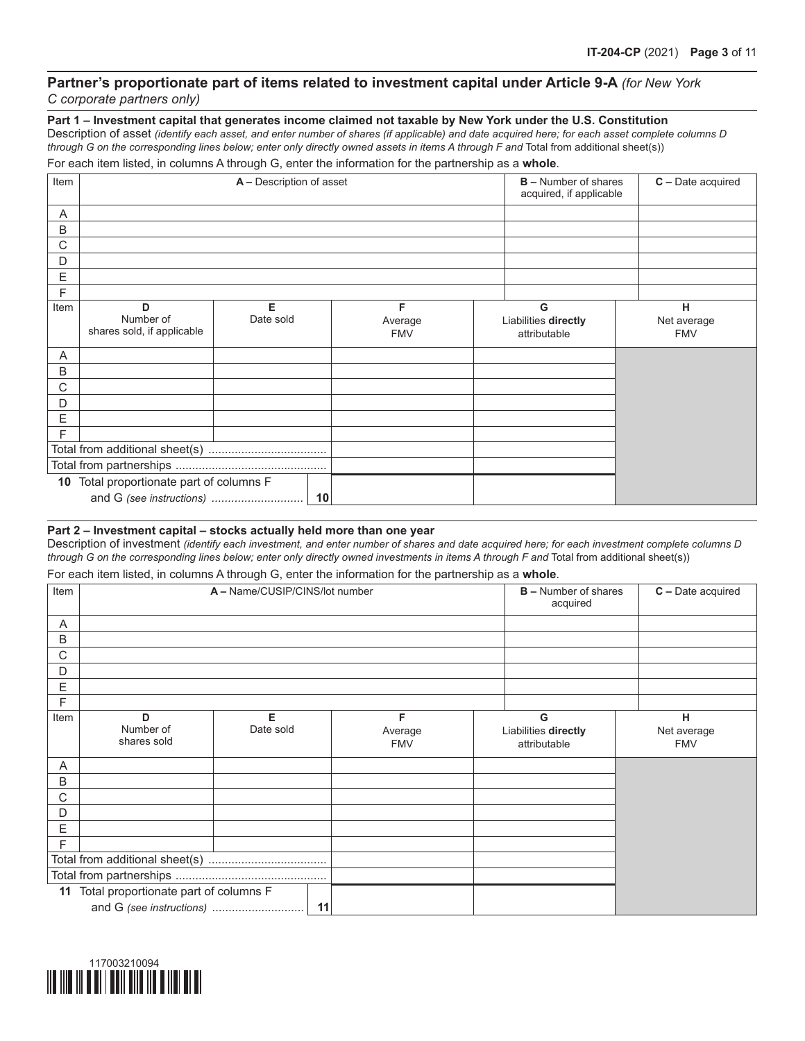## **Partner's proportionate part of items related to investment capital under Article 9-A** *(for New York C corporate partners only)*

**Part 1 – Investment capital that generates income claimed not taxable by New York under the U.S. Constitution**

Description of asset *(identify each asset, and enter number of shares (if applicable) and date acquired here; for each asset complete columns D through G on the corresponding lines below; enter only directly owned assets in items A through F and* Total from additional sheet(s)) For each item listed, in columns A through G, enter the information for the partnership as a **whole**.

| Item |                                          | A - Description of asset |            | <b>B</b> – Number of shares<br>acquired, if applicable | C - Date acquired |
|------|------------------------------------------|--------------------------|------------|--------------------------------------------------------|-------------------|
| A    |                                          |                          |            |                                                        |                   |
| B    |                                          |                          |            |                                                        |                   |
| C    |                                          |                          |            |                                                        |                   |
| D    |                                          |                          |            |                                                        |                   |
| E    |                                          |                          |            |                                                        |                   |
| F    |                                          |                          |            |                                                        |                   |
| Item | D                                        | Е                        | F          | G                                                      | н                 |
|      | Number of<br>shares sold, if applicable  | Date sold                | Average    | Liabilities directly                                   | Net average       |
|      |                                          |                          | <b>FMV</b> | attributable                                           | <b>FMV</b>        |
| A    |                                          |                          |            |                                                        |                   |
| B    |                                          |                          |            |                                                        |                   |
| C    |                                          |                          |            |                                                        |                   |
| D    |                                          |                          |            |                                                        |                   |
| Ε    |                                          |                          |            |                                                        |                   |
| F    |                                          |                          |            |                                                        |                   |
|      |                                          |                          |            |                                                        |                   |
|      |                                          |                          |            |                                                        |                   |
|      | 10 Total proportionate part of columns F |                          |            |                                                        |                   |
|      |                                          | 10                       |            |                                                        |                   |

### **Part 2 – Investment capital – stocks actually held more than one year**

Description of investment *(identify each investment, and enter number of shares and date acquired here; for each investment complete columns D through G on the corresponding lines below; enter only directly owned investments in items A through F and* Total from additional sheet(s))

For each item listed, in columns A through G, enter the information for the partnership as a **whole**.

| Item |                                          | A - Name/CUSIP/CINS/lot number |    |            | <b>B</b> – Number of shares<br>acquired | C - Date acquired |
|------|------------------------------------------|--------------------------------|----|------------|-----------------------------------------|-------------------|
| A    |                                          |                                |    |            |                                         |                   |
| B    |                                          |                                |    |            |                                         |                   |
| C    |                                          |                                |    |            |                                         |                   |
| D    |                                          |                                |    |            |                                         |                   |
| E    |                                          |                                |    |            |                                         |                   |
| F    |                                          |                                |    |            |                                         |                   |
| Item | D                                        | Е                              |    | F          | G                                       | н                 |
|      | Number of<br>shares sold                 | Date sold                      |    | Average    | Liabilities directly                    | Net average       |
|      |                                          |                                |    | <b>FMV</b> | attributable                            | <b>FMV</b>        |
| A    |                                          |                                |    |            |                                         |                   |
| B    |                                          |                                |    |            |                                         |                   |
| C    |                                          |                                |    |            |                                         |                   |
| D    |                                          |                                |    |            |                                         |                   |
| Е    |                                          |                                |    |            |                                         |                   |
| F    |                                          |                                |    |            |                                         |                   |
|      |                                          |                                |    |            |                                         |                   |
|      |                                          |                                |    |            |                                         |                   |
|      | 11 Total proportionate part of columns F |                                |    |            |                                         |                   |
|      |                                          |                                | 11 |            |                                         |                   |

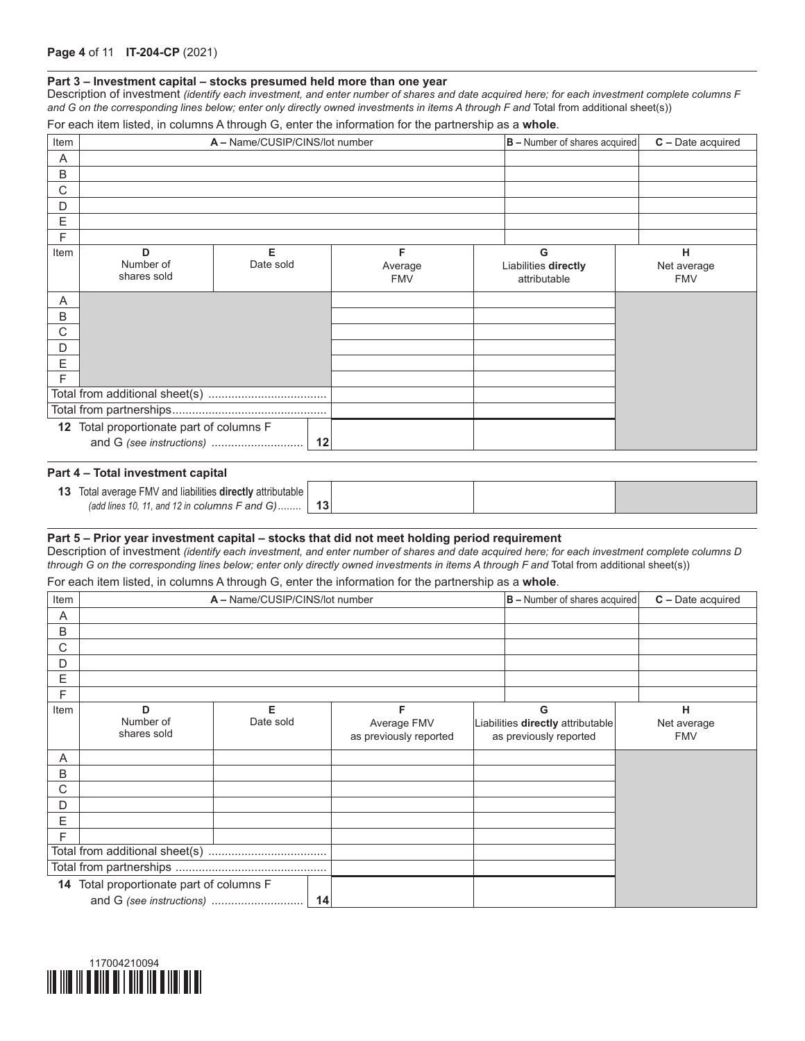#### **Part 3 – Investment capital – stocks presumed held more than one year**

Description of investment *(identify each investment, and enter number of shares and date acquired here; for each investment complete columns F*  and G on the corresponding lines below; enter only directly owned investments in items A through F and Total from additional sheet(s))

|  |  | For each item listed, in columns A through G, enter the information for the partnership as a <b>whole</b> . |  |  |
|--|--|-------------------------------------------------------------------------------------------------------------|--|--|
|--|--|-------------------------------------------------------------------------------------------------------------|--|--|

| Item |                                          | A - Name/CUSIP/CINS/lot number |                            | $ B -$ Number of shares acquired          | C - Date acquired              |
|------|------------------------------------------|--------------------------------|----------------------------|-------------------------------------------|--------------------------------|
| Α    |                                          |                                |                            |                                           |                                |
| B    |                                          |                                |                            |                                           |                                |
| С    |                                          |                                |                            |                                           |                                |
| D    |                                          |                                |                            |                                           |                                |
| E    |                                          |                                |                            |                                           |                                |
| F    |                                          |                                |                            |                                           |                                |
| Item | D<br>Number of<br>shares sold            | Е<br>Date sold                 | F<br>Average<br><b>FMV</b> | G<br>Liabilities directly<br>attributable | н<br>Net average<br><b>FMV</b> |
| Α    |                                          |                                |                            |                                           |                                |
| В    |                                          |                                |                            |                                           |                                |
| С    |                                          |                                |                            |                                           |                                |
| D    |                                          |                                |                            |                                           |                                |
| E    |                                          |                                |                            |                                           |                                |
| F    |                                          |                                |                            |                                           |                                |
|      |                                          |                                |                            |                                           |                                |
|      |                                          |                                |                            |                                           |                                |
|      | 12 Total proportionate part of columns F |                                |                            |                                           |                                |
|      |                                          |                                |                            |                                           |                                |

#### **Part 4 – Total investment capital**

| Total average FMV and liabilities <b>directly</b> attributable |  |  |
|----------------------------------------------------------------|--|--|
| (add lines 10, 11, and 12 in columns $F$ and $G$ )             |  |  |

#### **Part 5 – Prior year investment capital – stocks that did not meet holding period requirement**

Description of investment *(identify each investment, and enter number of shares and date acquired here; for each investment complete columns D through G on the corresponding lines below; enter only directly owned investments in items A through F and* Total from additional sheet(s))

For each item listed, in columns A through G, enter the information for the partnership as a **whole**.

| Item |                                          | A - Name/CUSIP/CINS/lot number |                                       | $ B -$ Number of shares acquired                            | $C$ – Date acquired       |
|------|------------------------------------------|--------------------------------|---------------------------------------|-------------------------------------------------------------|---------------------------|
| Α    |                                          |                                |                                       |                                                             |                           |
| B    |                                          |                                |                                       |                                                             |                           |
| С    |                                          |                                |                                       |                                                             |                           |
| D    |                                          |                                |                                       |                                                             |                           |
| Ε    |                                          |                                |                                       |                                                             |                           |
| F    |                                          |                                |                                       |                                                             |                           |
| Item | D                                        | Е                              | F                                     | G                                                           | н                         |
|      | Number of<br>shares sold                 | Date sold                      | Average FMV<br>as previously reported | Liabilities directly attributable<br>as previously reported | Net average<br><b>FMV</b> |
| Α    |                                          |                                |                                       |                                                             |                           |
| B    |                                          |                                |                                       |                                                             |                           |
| С    |                                          |                                |                                       |                                                             |                           |
| D    |                                          |                                |                                       |                                                             |                           |
| E    |                                          |                                |                                       |                                                             |                           |
| F    |                                          |                                |                                       |                                                             |                           |
|      |                                          |                                |                                       |                                                             |                           |
|      |                                          |                                |                                       |                                                             |                           |
|      | 14 Total proportionate part of columns F |                                |                                       |                                                             |                           |
|      | and G (see instructions)                 | 14                             |                                       |                                                             |                           |

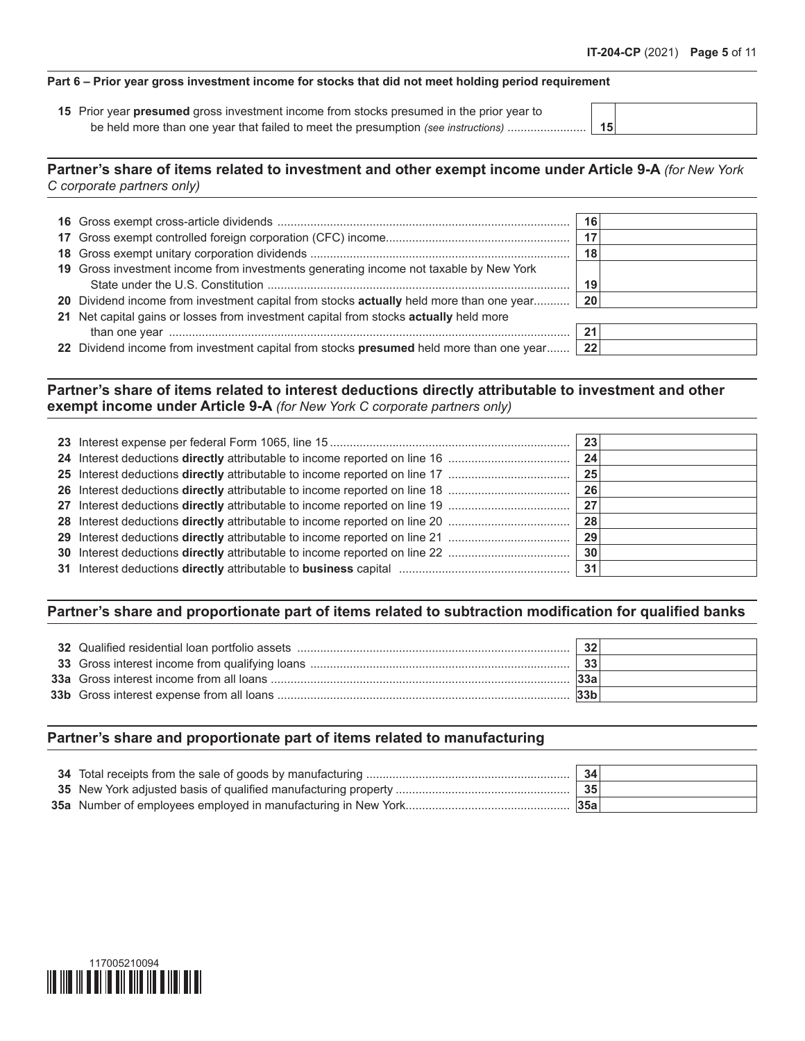## **Part 6 – Prior year gross investment income for stocks that did not meet holding period requirement**

 Prior year **presumed** gross investment income from stocks presumed in the prior year to be held more than one year that failed to meet the presumption *(see instructions)* ........................ **15**

# **Partner's share of items related to investment and other exempt income under Article 9-A** *(for New York C corporate partners only)*

|                                                                                            | 16  |  |
|--------------------------------------------------------------------------------------------|-----|--|
|                                                                                            |     |  |
|                                                                                            | 18  |  |
| 19 Gross investment income from investments generating income not taxable by New York      |     |  |
|                                                                                            | 19  |  |
| 20 Dividend income from investment capital from stocks actually held more than one year 20 |     |  |
| 21 Net capital gains or losses from investment capital from stocks actually held more      |     |  |
|                                                                                            | 21  |  |
| 22 Dividend income from investment capital from stocks presumed held more than one year    | -22 |  |
|                                                                                            |     |  |

**Partner's share of items related to interest deductions directly attributable to investment and other exempt income under Article 9-A** *(for New York C corporate partners only)*

|  | 23'             |  |
|--|-----------------|--|
|  | 24              |  |
|  | 25 <sup>1</sup> |  |
|  | 26'             |  |
|  |                 |  |
|  | 28 <sup>1</sup> |  |
|  | 29'             |  |
|  | 30              |  |
|  | 31              |  |

# **Partner's share and proportionate part of items related to subtraction modification for qualified banks**

|  | 32  |  |
|--|-----|--|
|  | 33  |  |
|  | 33a |  |
|  |     |  |

## **Partner's share and proportionate part of items related to manufacturing**

|  | 34  |  |
|--|-----|--|
|  | 35  |  |
|  | 35a |  |

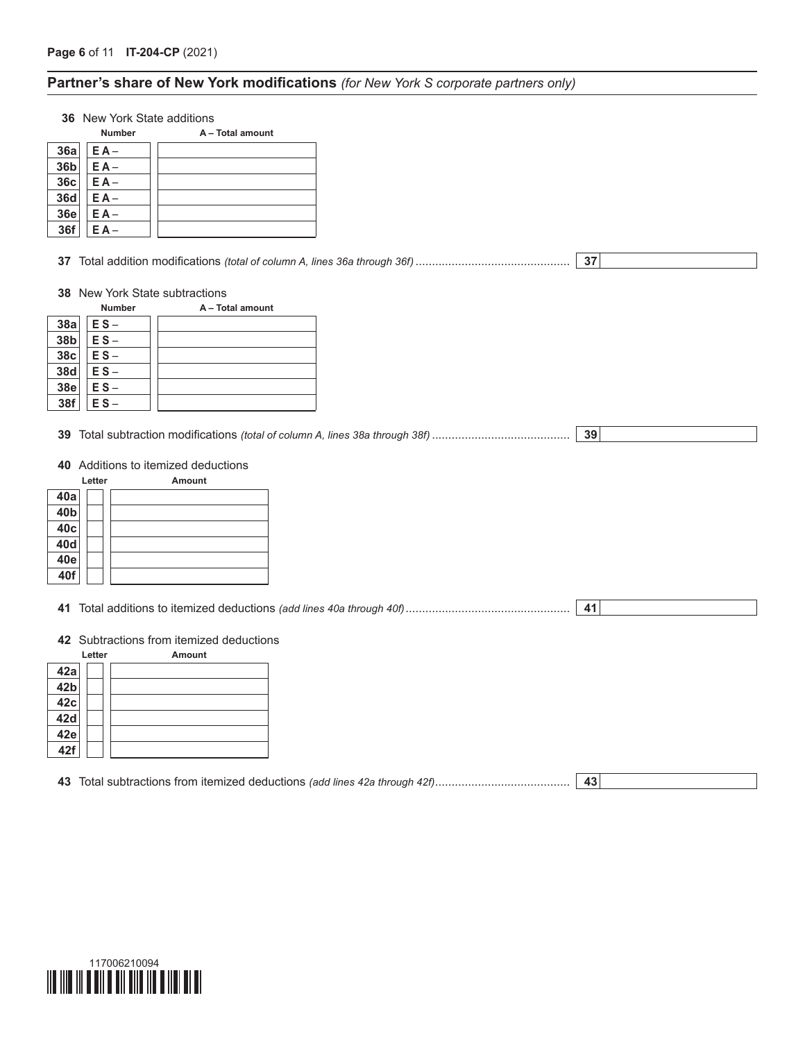# **Partner's share of New York modifications** *(for New York S corporate partners only)*

**36** New York State additions

|                 | <b>Number</b> | A - Total amount |
|-----------------|---------------|------------------|
| 36a             | $E A -$       |                  |
| 36 <sub>b</sub> | $E A -$       |                  |
| 36c             | $E A -$       |                  |
| <b>36d</b>      | $EA -$        |                  |
| <b>36e</b>      | $E A -$       |                  |
| 36f             | FΔ            |                  |

**37** Total addition modifications *(total of column A, lines 36a through 36f)*............................................... **37**

### **38** New York State subtractions

|                 | <b>Number</b> | A - Total amount |
|-----------------|---------------|------------------|
| 38a             | $ES -$        |                  |
| 38b             | $ES -$        |                  |
| 38 <sub>c</sub> | $ES -$        |                  |
| <b>38d</b>      | $ES -$        |                  |
| <b>38e</b>      | $ES -$        |                  |
| 38f             | ΕS            |                  |

**39** Total subtraction modifications *(total of column A, lines 38a through 38f)*.......................................... **39**

## **40** Additions to itemized deductions

|                 | Letter | <b>Amount</b> |
|-----------------|--------|---------------|
| 40a             |        |               |
| 40 <sub>b</sub> |        |               |
| 40c             |        |               |
| 40d             |        |               |
| 40e             |        |               |
| 40f             |        |               |

**41** Total additions to itemized deductions *(add lines 40a through 40f)*.................................................. **41**

# **42** Subtractions from itemized deductions

|     | Letter | <b>Amount</b> |
|-----|--------|---------------|
| 42a |        |               |
| 42b |        |               |
| 42c |        |               |
| 42d |        |               |
| 42e |        |               |
| 42f |        |               |

**43** Total subtractions from itemized deductions *(add lines 42a through 42f)*......................................... **43**

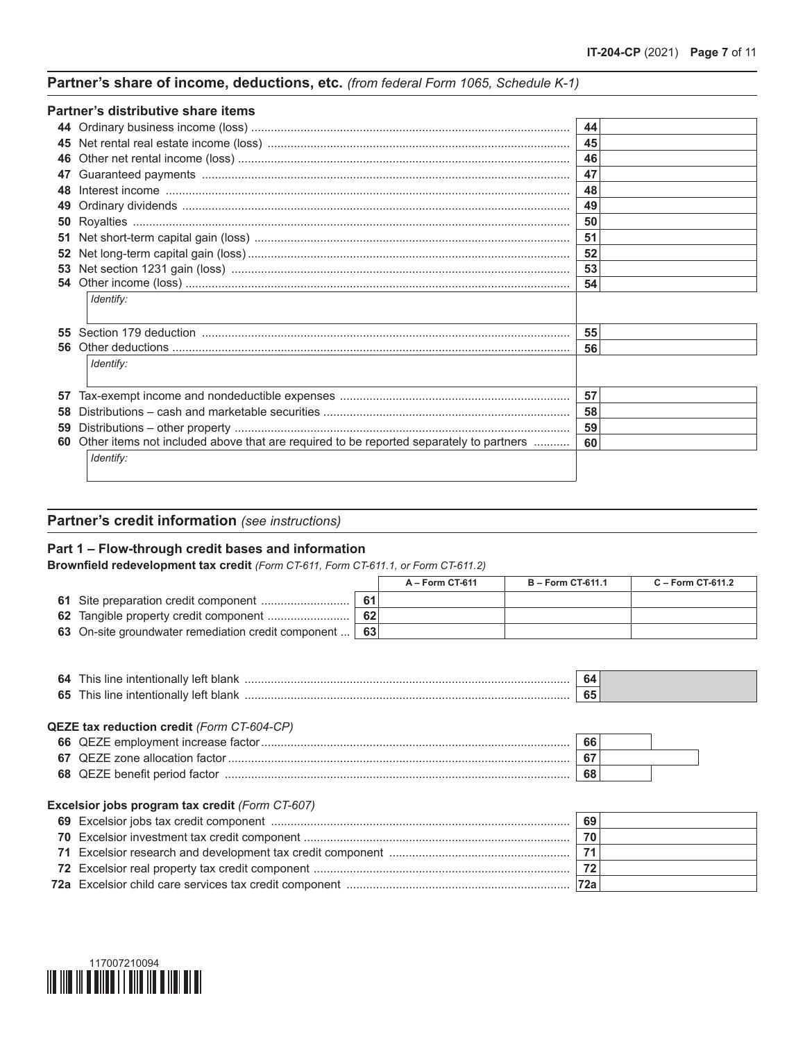# **Partner's share of income, deductions, etc.** *(from federal Form 1065, Schedule K-1)*

|    | Partner's distributive share items                                                        |    |
|----|-------------------------------------------------------------------------------------------|----|
|    |                                                                                           | 44 |
|    |                                                                                           | 45 |
| 46 |                                                                                           | 46 |
| 47 |                                                                                           | 47 |
| 48 |                                                                                           | 48 |
|    |                                                                                           | 49 |
| 50 |                                                                                           | 50 |
| 51 |                                                                                           | 51 |
| 52 |                                                                                           | 52 |
|    |                                                                                           | 53 |
|    |                                                                                           | 54 |
|    | Identify:                                                                                 |    |
| 55 |                                                                                           | 55 |
| 56 |                                                                                           | 56 |
|    | Identify:                                                                                 |    |
| 57 |                                                                                           | 57 |
| 58 |                                                                                           | 58 |
| 59 |                                                                                           | 59 |
|    | 60 Other items not included above that are required to be reported separately to partners | 60 |
|    | Identify:                                                                                 |    |

# **Partner's credit information** *(see instructions)*

# **Part 1 – Flow-through credit bases and information**

**Brownfield redevelopment tax credit** *(Form CT-611, Form CT-611.1, or Form CT-611.2)*

|                                                     |     | A - Form CT-611 | $B - Form C T-611.1$ | $C - Form C T-611.2$ |
|-----------------------------------------------------|-----|-----------------|----------------------|----------------------|
|                                                     | -61 |                 |                      |                      |
|                                                     | 62  |                 |                      |                      |
| 63 On-site groundwater remediation credit component | 63  |                 |                      |                      |

| 64 | nıs<br>าเลเ<br>าเ | <b>TIP</b> |  |
|----|-------------------|------------|--|
| o. | าเร<br>าเลท<br>.  | __         |  |

### **QEZE tax reduction credit** *(Form CT-604-CP)*

|    |                               | 66                     |  |
|----|-------------------------------|------------------------|--|
| 67 | ▼ QEZE zone allocation factor | $\sim$<br>$\mathbf{v}$ |  |
|    | 68 QEZE benefit period factor | 68                     |  |

### **Excelsior jobs program tax credit** *(Form CT-607)*

|  | 72a |  |
|--|-----|--|

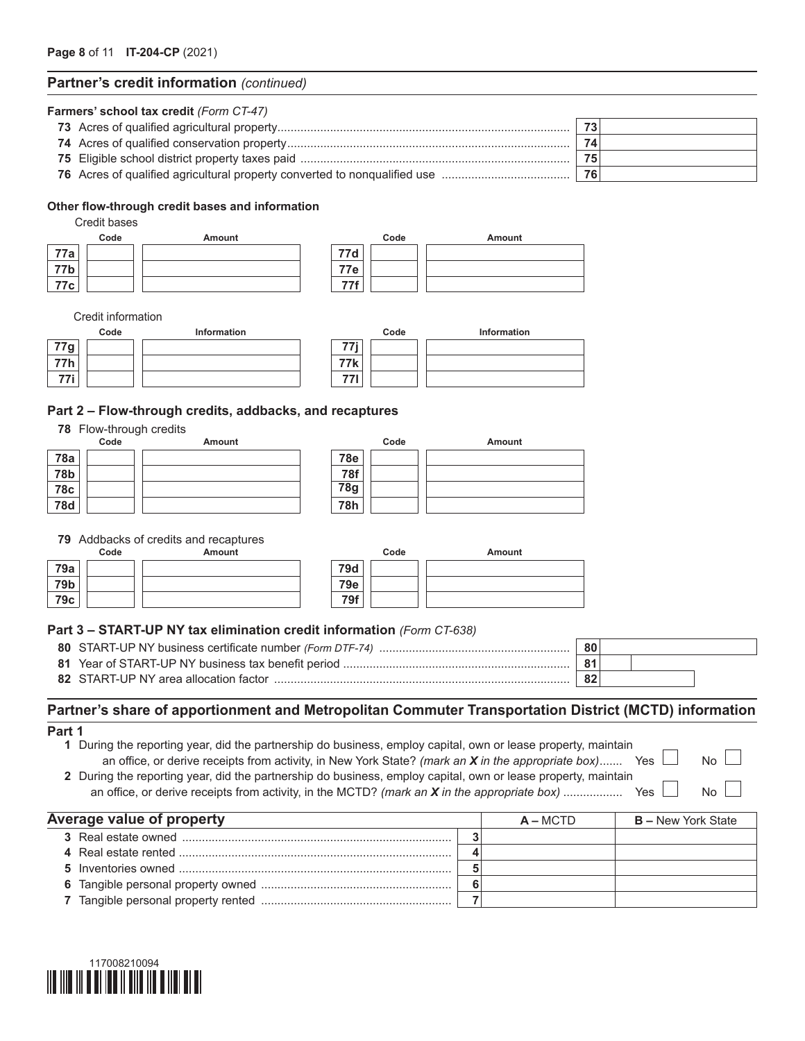## **Partner's credit information** *(continued)*

| Farmers' school tax credit (Form CT-47) |    |
|-----------------------------------------|----|
|                                         | 73 |
|                                         | 74 |
|                                         | 75 |
| 76                                      |    |

### **Other flow-through credit bases and information**

Credit bases

|     | Code | Amount |     | Code | <b>Amount</b> |
|-----|------|--------|-----|------|---------------|
| 77a |      |        | 77d |      |               |
| 77b |      |        | 77e |      |               |
| 77c |      |        | 77f |      |               |

Credit information

|          | Code | <b>Information</b> | Code       | <b>Information</b> |
|----------|------|--------------------|------------|--------------------|
| $77g_1$  |      |                    | フフ:        |                    |
| フフト<br>. |      |                    | <b>77k</b> |                    |
| $-1$     |      |                    | 771<br>,,, |                    |

### **Part 2 – Flow-through credits, addbacks, and recaptures**

#### **78** Flow-through credits

|            | Code | Amount |            |
|------------|------|--------|------------|
| <b>78a</b> |      |        | <b>78e</b> |
| <b>78b</b> |      |        | 78f        |
| <b>78c</b> |      |        | <b>78g</b> |
| <b>78d</b> |      |        | 78h        |

|            | Code | Amount |
|------------|------|--------|
| <b>78e</b> |      |        |
| <b>78f</b> |      |        |
| <b>78g</b> |      |        |
| 78h        |      |        |

#### **79** Addbacks of credits and recaptures

|     | Code | Amount |            | Code | Amount |
|-----|------|--------|------------|------|--------|
| 79a |      |        | <b>79d</b> |      |        |
| 79b |      |        | <b>79e</b> |      |        |
| 79c |      |        | 79f        |      |        |

### **Part 3 – START-UP NY tax elimination credit information** *(Form CT-638)*

|                                       | 80 |  |  |
|---------------------------------------|----|--|--|
|                                       |    |  |  |
| 82 START-UP NY area allocation factor |    |  |  |

# **Partner's share of apportionment and Metropolitan Commuter Transportation District (MCTD) information**

| ×<br>×<br>I |  |
|-------------|--|
|-------------|--|

**1** During the reporting year, did the partnership do business, employ capital, own or lease property, maintain an office, or derive receipts from activity, in New York State? *(mark an X* in the appropriate box)....... Yes  $\Box$  No

**2** During the reporting year, did the partnership do business, employ capital, own or lease property, maintain an office, or derive receipts from activity, in the MCTD? *(mark an X in the appropriate box)* .................. Yes No

| Average value of property |  |  | $A - MCTD$ | <b>B</b> – New York State |
|---------------------------|--|--|------------|---------------------------|
|                           |  |  |            |                           |
|                           |  |  |            |                           |
|                           |  |  |            |                           |
|                           |  |  |            |                           |
|                           |  |  |            |                           |

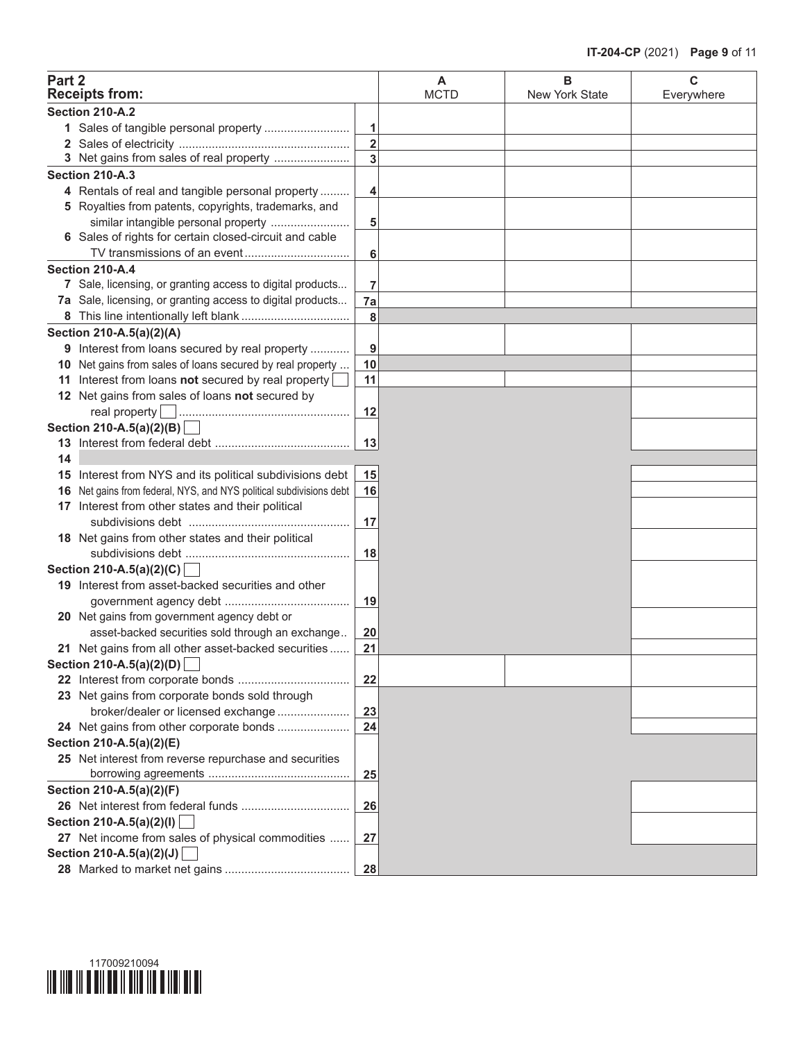| Part 2 | <b>Receipts from:</b>                                               |                         | A<br><b>MCTD</b> | в<br>New York State | C<br>Everywhere |
|--------|---------------------------------------------------------------------|-------------------------|------------------|---------------------|-----------------|
|        | Section 210-A.2                                                     |                         |                  |                     |                 |
|        |                                                                     | 1                       |                  |                     |                 |
|        |                                                                     | $\overline{\mathbf{2}}$ |                  |                     |                 |
|        | 3 Net gains from sales of real property                             | 3                       |                  |                     |                 |
|        | Section 210-A.3                                                     |                         |                  |                     |                 |
|        | 4 Rentals of real and tangible personal property                    | 4                       |                  |                     |                 |
|        | 5 Royalties from patents, copyrights, trademarks, and               |                         |                  |                     |                 |
|        | similar intangible personal property                                | 5                       |                  |                     |                 |
|        | 6 Sales of rights for certain closed-circuit and cable              |                         |                  |                     |                 |
|        | TV transmissions of an event                                        | 6                       |                  |                     |                 |
|        | Section 210-A.4                                                     |                         |                  |                     |                 |
|        | 7 Sale, licensing, or granting access to digital products           | 7                       |                  |                     |                 |
|        | 7a Sale, licensing, or granting access to digital products          |                         |                  |                     |                 |
|        |                                                                     | 7a                      |                  |                     |                 |
|        |                                                                     | 8                       |                  |                     |                 |
|        | Section 210-A.5(a)(2)(A)                                            |                         |                  |                     |                 |
|        | 9 Interest from loans secured by real property                      | 9                       |                  |                     |                 |
|        | 10 Net gains from sales of loans secured by real property           | 10                      |                  |                     |                 |
|        | 11 Interest from loans not secured by real property                 | 11                      |                  |                     |                 |
|        | 12 Net gains from sales of loans not secured by                     |                         |                  |                     |                 |
|        |                                                                     | 12                      |                  |                     |                 |
|        | Section 210-A.5(a)(2)(B)                                            |                         |                  |                     |                 |
|        |                                                                     | 13                      |                  |                     |                 |
| 14     |                                                                     |                         |                  |                     |                 |
|        | 15 Interest from NYS and its political subdivisions debt            | 15                      |                  |                     |                 |
|        | 16 Net gains from federal, NYS, and NYS political subdivisions debt | 16                      |                  |                     |                 |
|        | 17 Interest from other states and their political                   |                         |                  |                     |                 |
|        |                                                                     | 17                      |                  |                     |                 |
|        | 18 Net gains from other states and their political                  |                         |                  |                     |                 |
|        |                                                                     | 18                      |                  |                     |                 |
|        | Section 210-A.5(a)(2)(C)                                            |                         |                  |                     |                 |
|        | 19 Interest from asset-backed securities and other                  |                         |                  |                     |                 |
|        |                                                                     | 19                      |                  |                     |                 |
|        | 20 Net gains from government agency debt or                         |                         |                  |                     |                 |
|        | asset-backed securities sold through an exchange                    | 20                      |                  |                     |                 |
|        | 21 Net gains from all other asset-backed securities                 | 21                      |                  |                     |                 |
|        | Section 210-A.5(a)(2)(D)                                            |                         |                  |                     |                 |
|        |                                                                     | 22                      |                  |                     |                 |
|        | 23 Net gains from corporate bonds sold through                      |                         |                  |                     |                 |
|        | broker/dealer or licensed exchange                                  | 23                      |                  |                     |                 |
|        | 24 Net gains from other corporate bonds                             | 24                      |                  |                     |                 |
|        | Section 210-A.5(a)(2)(E)                                            |                         |                  |                     |                 |
|        | 25 Net interest from reverse repurchase and securities              |                         |                  |                     |                 |
|        |                                                                     | 25                      |                  |                     |                 |
|        | Section 210-A.5(a)(2)(F)                                            |                         |                  |                     |                 |
|        |                                                                     | 26                      |                  |                     |                 |
|        | Section 210-A.5(a)(2)(l)                                            |                         |                  |                     |                 |
|        | 27 Net income from sales of physical commodities                    | 27                      |                  |                     |                 |
|        | Section 210-A.5(a)(2)(J)                                            |                         |                  |                     |                 |
|        |                                                                     | 28                      |                  |                     |                 |

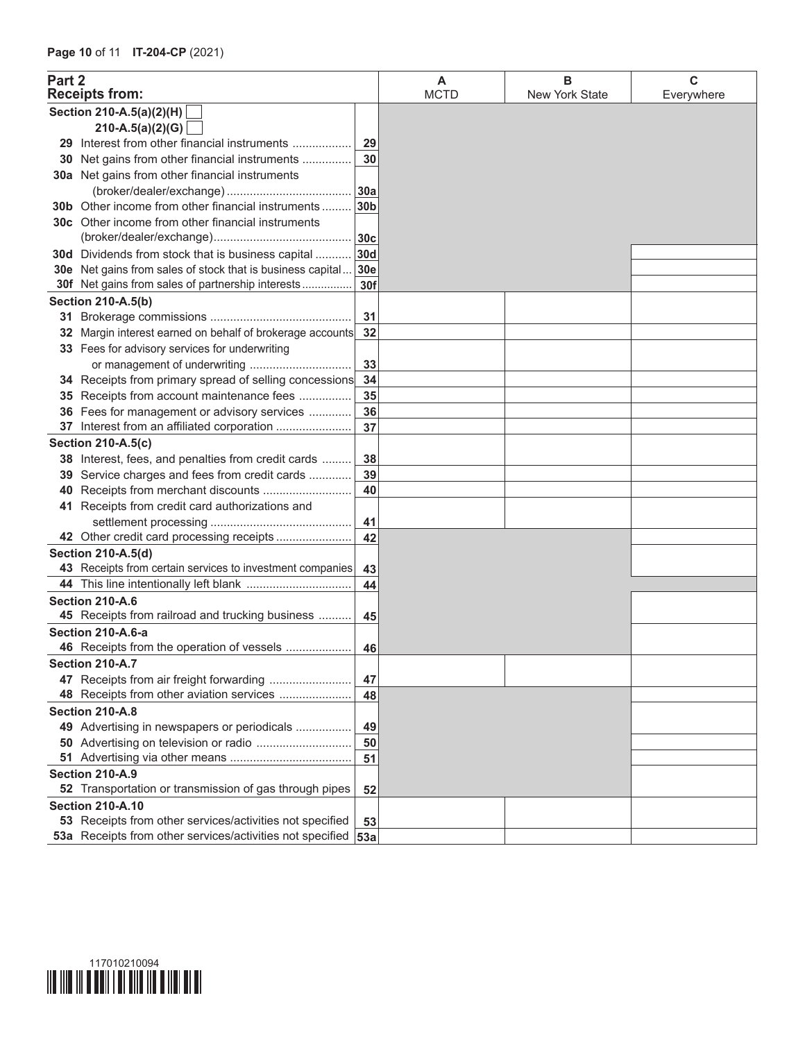| Part 2 | <b>Receipts from:</b>                                         |     | A<br><b>MCTD</b> | в<br>New York State | С<br>Everywhere |
|--------|---------------------------------------------------------------|-----|------------------|---------------------|-----------------|
|        | Section 210-A.5(a)(2)(H)                                      |     |                  |                     |                 |
|        | 210-A.5(a)(2)(G)                                              |     |                  |                     |                 |
|        | 29 Interest from other financial instruments                  | 29  |                  |                     |                 |
|        | 30 Net gains from other financial instruments                 | 30  |                  |                     |                 |
|        | 30a Net gains from other financial instruments                |     |                  |                     |                 |
|        |                                                               | 30a |                  |                     |                 |
|        | <b>30b</b> Other income from other financial instruments      | 30b |                  |                     |                 |
|        | 30c Other income from other financial instruments             |     |                  |                     |                 |
|        |                                                               | 30c |                  |                     |                 |
|        | 30d Dividends from stock that is business capital             | 30d |                  |                     |                 |
|        | 30e Net gains from sales of stock that is business capital    | 30e |                  |                     |                 |
|        | 30f Net gains from sales of partnership interests             | 30f |                  |                     |                 |
|        | <b>Section 210-A.5(b)</b>                                     |     |                  |                     |                 |
|        |                                                               | 31  |                  |                     |                 |
|        | 32 Margin interest earned on behalf of brokerage accounts     | 32  |                  |                     |                 |
|        | 33 Fees for advisory services for underwriting                |     |                  |                     |                 |
|        | or management of underwriting                                 | 33  |                  |                     |                 |
|        | 34 Receipts from primary spread of selling concessions        | 34  |                  |                     |                 |
|        | 35 Receipts from account maintenance fees                     | 35  |                  |                     |                 |
|        | 36 Fees for management or advisory services                   | 36  |                  |                     |                 |
|        |                                                               | 37  |                  |                     |                 |
|        | <b>Section 210-A.5(c)</b>                                     |     |                  |                     |                 |
|        | 38 Interest, fees, and penalties from credit cards            | 38  |                  |                     |                 |
|        | 39 Service charges and fees from credit cards                 | 39  |                  |                     |                 |
|        | 40 Receipts from merchant discounts                           | 40  |                  |                     |                 |
|        | 41 Receipts from credit card authorizations and               |     |                  |                     |                 |
|        |                                                               | 41  |                  |                     |                 |
|        | 42 Other credit card processing receipts                      | 42  |                  |                     |                 |
|        | Section 210-A.5(d)                                            |     |                  |                     |                 |
|        | 43 Receipts from certain services to investment companies     | 43  |                  |                     |                 |
|        |                                                               | 44  |                  |                     |                 |
|        | Section 210-A.6                                               |     |                  |                     |                 |
|        | 45 Receipts from railroad and trucking business               | 45  |                  |                     |                 |
|        | Section 210-A.6-a                                             |     |                  |                     |                 |
|        | 46 Receipts from the operation of vessels                     | 46  |                  |                     |                 |
|        | Section 210-A.7                                               |     |                  |                     |                 |
|        | 47 Receipts from air freight forwarding                       | 47  |                  |                     |                 |
|        |                                                               | 48  |                  |                     |                 |
|        | Section 210-A.8                                               |     |                  |                     |                 |
|        | 49 Advertising in newspapers or periodicals                   | 49  |                  |                     |                 |
|        |                                                               | 50  |                  |                     |                 |
|        |                                                               | 51  |                  |                     |                 |
|        | Section 210-A.9                                               |     |                  |                     |                 |
|        | 52 Transportation or transmission of gas through pipes        | 52  |                  |                     |                 |
|        | <b>Section 210-A.10</b>                                       |     |                  |                     |                 |
|        | 53 Receipts from other services/activities not specified      | 53  |                  |                     |                 |
|        | 53a Receipts from other services/activities not specified 53a |     |                  |                     |                 |